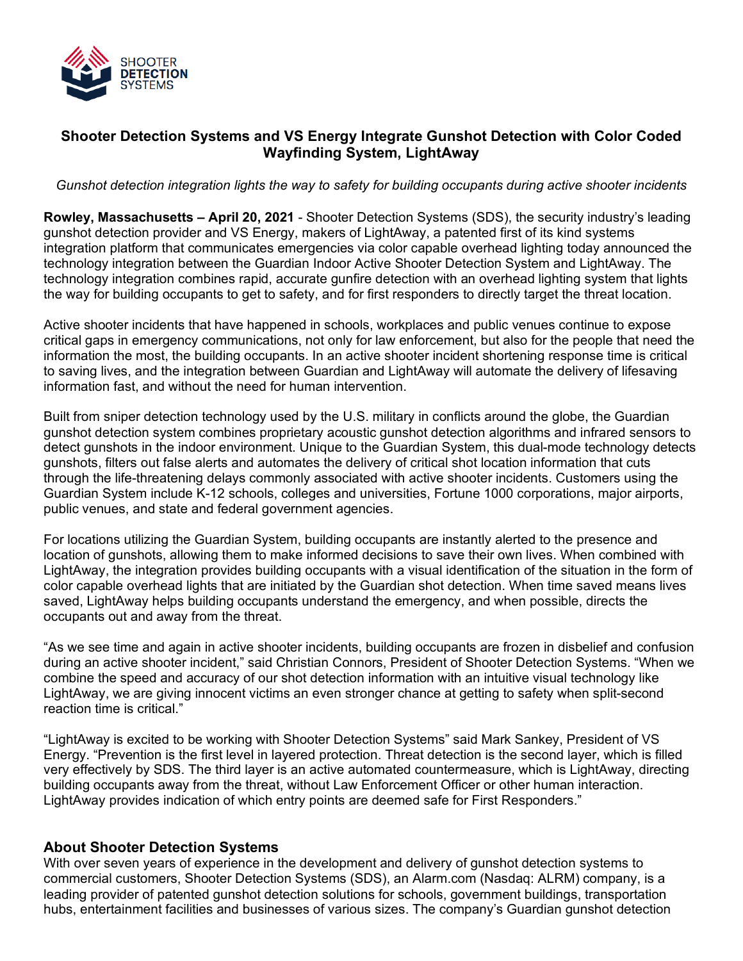

## **Shooter Detection Systems and VS Energy Integrate Gunshot Detection with Color Coded Wayfinding System, LightAway**

*Gunshot detection integration lights the way to safety for building occupants during active shooter incidents*

**Rowley, Massachusetts – April 20, 2021** - Shooter Detection Systems (SDS), the security industry's leading gunshot detection provider and VS Energy, makers of LightAway, a patented first of its kind systems integration platform that communicates emergencies via color capable overhead lighting today announced the technology integration between the Guardian Indoor Active Shooter Detection System and LightAway. The technology integration combines rapid, accurate gunfire detection with an overhead lighting system that lights the way for building occupants to get to safety, and for first responders to directly target the threat location.

Active shooter incidents that have happened in schools, workplaces and public venues continue to expose critical gaps in emergency communications, not only for law enforcement, but also for the people that need the information the most, the building occupants. In an active shooter incident shortening response time is critical to saving lives, and the integration between Guardian and LightAway will automate the delivery of lifesaving information fast, and without the need for human intervention.

Built from sniper detection technology used by the U.S. military in conflicts around the globe, the Guardian gunshot detection system combines proprietary acoustic gunshot detection algorithms and infrared sensors to detect gunshots in the indoor environment. Unique to the Guardian System, this dual-mode technology detects gunshots, filters out false alerts and automates the delivery of critical shot location information that cuts through the life-threatening delays commonly associated with active shooter incidents. Customers using the Guardian System include K-12 schools, colleges and universities, Fortune 1000 corporations, major airports, public venues, and state and federal government agencies.

For locations utilizing the Guardian System, building occupants are instantly alerted to the presence and location of gunshots, allowing them to make informed decisions to save their own lives. When combined with LightAway, the integration provides building occupants with a visual identification of the situation in the form of color capable overhead lights that are initiated by the Guardian shot detection. When time saved means lives saved, LightAway helps building occupants understand the emergency, and when possible, directs the occupants out and away from the threat.

"As we see time and again in active shooter incidents, building occupants are frozen in disbelief and confusion during an active shooter incident," said Christian Connors, President of Shooter Detection Systems. "When we combine the speed and accuracy of our shot detection information with an intuitive visual technology like LightAway, we are giving innocent victims an even stronger chance at getting to safety when split-second reaction time is critical."

"LightAway is excited to be working with Shooter Detection Systems" said Mark Sankey, President of VS Energy. "Prevention is the first level in layered protection. Threat detection is the second layer, which is filled very effectively by SDS. The third layer is an active automated countermeasure, which is LightAway, directing building occupants away from the threat, without Law Enforcement Officer or other human interaction. LightAway provides indication of which entry points are deemed safe for First Responders."

## **About Shooter Detection Systems**

With over seven years of experience in the development and delivery of gunshot detection systems to commercial customers, Shooter Detection Systems (SDS), an Alarm.com (Nasdaq: ALRM) company, is a leading provider of patented gunshot detection solutions for schools, government buildings, transportation hubs, entertainment facilities and businesses of various sizes. The company's Guardian gunshot detection